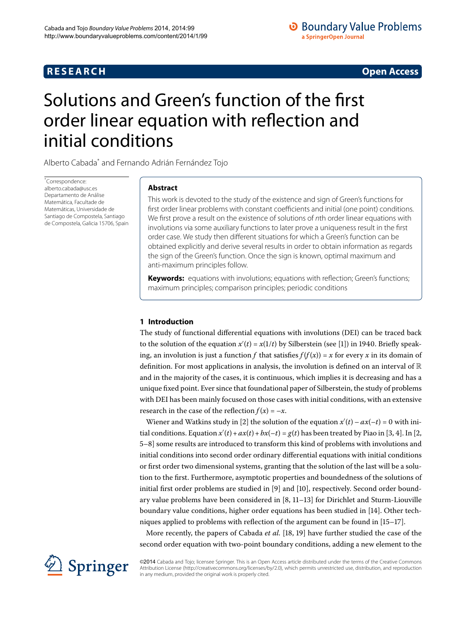# **R E S E A R C H Open Access**

# <span id="page-0-0"></span>Solutions and Green's function of the first order linear equation with reflection and initial conditions

Alberto Cabad[a\\*](#page-0-0) and Fernando Adrián Fernández Tojo

\* Correspondence: [alberto.cabada@usc.es](mailto:alberto.cabada@usc.es) Departamento de Análise Matemática, Facultade de Matemáticas, Universidade de Santiago de Compostela, Santiago de Compostela, Galicia 15706, Spain

# **Abstract**

This work is devoted to the study of the existence and sign of Green's functions for first order linear problems with constant coefficients and initial (one point) conditions. We first prove a result on the existence of solutions of nth order linear equations with involutions via some auxiliary functions to later prove a uniqueness result in the first order case. We study then different situations for which a Green's function can be obtained explicitly and derive several results in order to obtain information as regards the sign of the Green's function. Once the sign is known, optimal maximum and anti-maximum principles follow.

**Keywords:** equations with involutions; equations with reflection; Green's functions; maximum principles; comparison principles; periodic conditions

## **1 Introduction**

The study of functional differential equations with involutions (DEI) can be traced back to the solution of the equation  $x'(t) = x(1/t)$  by Silberstein (see [1[\]](#page-14-0)) in 1940. Briefly speaking, an involution is just a function *f* that satisfies  $f(f(x)) = x$  for every *x* in its domain of definition. For most applications in analysis, the involution is defined on an interval of  $\mathbb R$ and in the majority of the cases, it is continuous, which implies it is decreasing and has a unique fixed point. Ever since that foundational paper of Silberstein, the study of problems with DEI has been mainly focused on those cases with initial conditions, with an extensive research in the case of the reflection  $f(x) = -x$ .

Wiener and Watkins study in [\[](#page-14-1)2] the solution of the equation  $x'(t) - ax(-t) = 0$  with initial conditions. Equation  $x'(t) + ax(t) + bx(-t) = g(t)$  has been treated by Piao in [3[,](#page-14-1) 4[\]](#page-14-3). In [2, [–](#page-14-5)] some results are introduced to transform this kind of problems with involutions and initial conditions into second order ordinary differential equations with initial conditions or first order two dimensional systems, granting that the solution of the last will be a solution to the first. Furthermore, asymptotic properties and boundedness of the solutions of initial first order problems are studied in  $[9]$  $[9]$  and  $[10]$ , respectively. Second order boundary value problems have been considered in  $[8, 11-13]$  $[8, 11-13]$  $[8, 11-13]$  $[8, 11-13]$  for Dirichlet and Sturm-Liouville boundary value conditions, higher order equations has been studied in [14[\]](#page-14-10). Other techniques applied to problems with reflection of the argument can be found in  $[15-17]$  $[15-17]$ .

More recently[,](#page-14-13) the papers of Cabada *et al.* [18, 19[\]](#page-15-0) have further studied the case of the second order equation with two-point boundary conditions, adding a new element to the



©2014 Cabada and Tojo; licensee Springer. This is an Open Access article distributed under the terms of the Creative Commons Attribution License [\(http://creativecommons.org/licenses/by/2.0](http://creativecommons.org/licenses/by/2.0)), which permits unrestricted use, distribution, and reproduction in any medium, provided the original work is properly cited.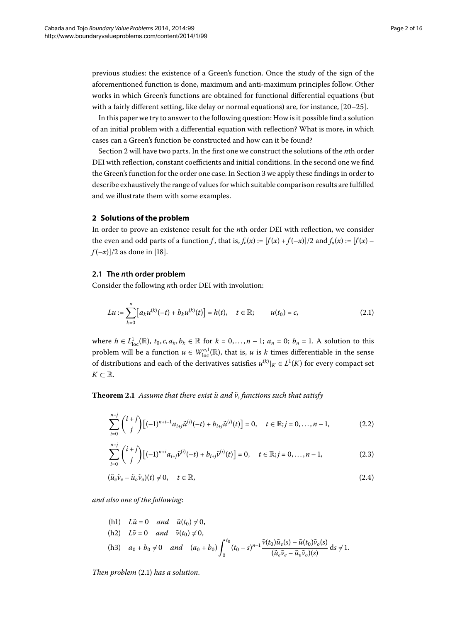previous studies: the existence of a Green's function. Once the study of the sign of the aforementioned function is done, maximum and anti-maximum principles follow. Other works in which Green's functions are obtained for functional differential equations (but with a fairly different setting, like delay or normal equations) are, for instance,  $[20-25]$ .

In this paper we try to answer to the following question: How is it possible find a solution of an initial problem with a differential equation with reflection? What is more, in which cases can a Green's function be constructed and how can it be found?

<span id="page-1-0"></span>Section 2 will have two parts. In the first one we construct the solutions of the *n*th order DEI with reflection, constant coefficients and initial conditions. In the second one we find the Green's function for the order one case. In Section 3 we apply these findings in order to describe exhaustively the range of values for which suitable comparison results are fulfilled and we illustrate them with some examples.

#### **2 Solutions of the problem**

In order to prove an existence result for the *n*th order DEI with reflection, we consider the even and odd parts of a function *f*, that is,  $f_e(x) := [f(x) + f(-x)]/2$  and  $f_o(x) := [f(x) - f(-x)]/2$  $f(-x)/2$  as done in [18[\]](#page-14-13).

#### **2.1 The** *n***th order problem**

Consider the following *n*th order DEI with involution:

<span id="page-1-1"></span>
$$
Lu := \sum_{k=0}^{n} \left[ a_k u^{(k)}(-t) + b_k u^{(k)}(t) \right] = h(t), \quad t \in \mathbb{R}; \qquad u(t_0) = c,
$$
\n(2.1)

<span id="page-1-2"></span>where  $h \in L^1_{loc}(\mathbb{R})$ ,  $t_0, c, a_k, b_k \in \mathbb{R}$  for  $k = 0, \ldots, n-1$ ;  $a_n = 0$ ;  $b_n = 1$ . A solution to this problem will be a function  $u \in W^{n,1}_{loc}(\mathbb{R})$ , that is, *u* is *k* times differentiable in the sense of distributions and each of the derivatives satisfies  $u^{(k)}|_K \in L^1(K)$  for every compact set  $K$  ⊂  $\mathbb{R}$ .

**Theorem 2.1** Assume that there exist  $\tilde{u}$  and  $\tilde{v}$ , functions such that satisfy

$$
\sum_{i=0}^{n-j} {i+j \choose j} [(-1)^{n+i-1} a_{i+j} \tilde{u}^{(i)}(-t) + b_{i+j} \tilde{u}^{(i)}(t)] = 0, \quad t \in \mathbb{R}; j = 0, ..., n-1,
$$
 (2.2)

$$
\sum_{i=0}^{n-j} {i+j \choose j} [(-1)^{n+i} a_{i+j} \tilde{\nu}^{(i)}(-t) + b_{i+j} \tilde{\nu}^{(i)}(t)] = 0, \quad t \in \mathbb{R}; j = 0, \ldots, n-1,
$$
\n(2.3)

$$
(\tilde{u}_e \tilde{v}_e - \tilde{u}_o \tilde{v}_o)(t) \neq 0, \quad t \in \mathbb{R},
$$
\n
$$
(2.4)
$$

*and also one of the following*:

(h1) 
$$
L\tilde{u} = 0
$$
 and  $\tilde{u}(t_0) \neq 0$ ,  
\n(h2)  $L\tilde{v} = 0$  and  $\tilde{v}(t_0) \neq 0$ ,  
\n(h3)  $a_0 + b_0 \neq 0$  and  $(a_0 + b_0) \int_0^{t_0} (t_0 - s)^{n-1} \frac{\tilde{v}(t_0) \tilde{u}_e(s) - \tilde{u}(t_0) \tilde{v}_o(s)}{(\tilde{u}_e \tilde{v}_e - \tilde{u}_o \tilde{v}_o)(s)}$  ds  $\neq 1$ .

*Then problem* (2.1) has a solution.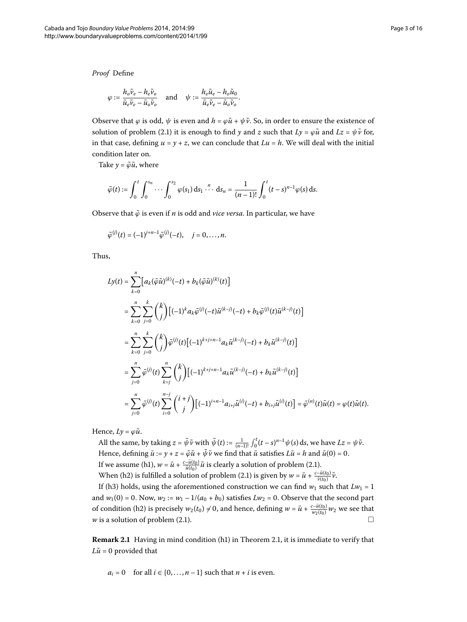*Proof* Define

$$
\varphi := \frac{h_o \tilde{\nu}_e - h_e \tilde{\nu}_o}{\tilde{u}_e \tilde{\nu}_e - \tilde{u}_o \tilde{\nu}_o} \quad \text{and} \quad \psi := \frac{h_e \tilde{u}_e - h_o \tilde{u}_o}{\tilde{u}_e \tilde{\nu}_e - \tilde{u}_o \tilde{\nu}_o}.
$$

Observe that  $\varphi$  is odd,  $\psi$  is even and  $h = \varphi \tilde{u} + \psi \tilde{v}$ . So, in order to ensure the existence of solution of problem (2[.](#page-1-1)1) it is enough to find *y* and *z* such that  $Ly = \varphi \tilde{u}$  and  $Lz = \psi \tilde{v}$  for, in that case, defining  $u = y + z$ , we can conclude that  $Lu = h$ . We will deal with the initial condition later on.

Take  $y = \tilde{\varphi} \tilde{u}$ , where

$$
\tilde{\varphi}(t) := \int_0^t \int_0^{s_n} \cdots \int_0^{s_2} \varphi(s_1) \, ds_1 \cdots ds_n = \frac{1}{(n-1)!} \int_0^t (t-s)^{n-1} \varphi(s) \, ds.
$$

Observe that *ϕ*˜ is even if *n* is odd and *vice versa*. In particular, we have

$$
\tilde{\varphi}^{(j)}(t)=(-1)^{j+n-1}\tilde{\varphi}^{(j)}(-t),\quad j=0,\ldots,n.
$$

Thus,

$$
L y(t) = \sum_{k=0}^{n} [a_k(\tilde{\varphi}\tilde{u})^{(k)}(-t) + b_k(\tilde{\varphi}\tilde{u})^{(k)}(t)]
$$
  
\n
$$
= \sum_{k=0}^{n} \sum_{j=0}^{k} {k \choose j} [(-1)^{k} a_k \tilde{\varphi}^{(j)}(-t) \tilde{u}^{(k-j)}(-t) + b_k \tilde{\varphi}^{(j)}(t) \tilde{u}^{(k-j)}(t)]
$$
  
\n
$$
= \sum_{k=0}^{n} \sum_{j=0}^{k} {k \choose j} \tilde{\varphi}^{(j)}(t) [(-1)^{k+j+n-1} a_k \tilde{u}^{(k-j)}(-t) + b_k \tilde{u}^{(k-j)}(t)]
$$
  
\n
$$
= \sum_{j=0}^{n} \tilde{\varphi}^{(j)}(t) \sum_{k=j}^{n} {k \choose j} [(-1)^{k+j+n-1} a_k \tilde{u}^{(k-j)}(-t) + b_k \tilde{u}^{(k-j)}(t)]
$$
  
\n
$$
= \sum_{j=0}^{n} \tilde{\varphi}^{(j)}(t) \sum_{i=0}^{n-j} {i+j \choose j} [(-1)^{i+n-1} a_{i+j} \tilde{u}^{(i)}(-t) + b_{i+j} \tilde{u}^{(i)}(t)] = \tilde{\varphi}^{(n)}(t) \tilde{u}(t) = \varphi(t) \tilde{u}(t).
$$

Hence,  $Ly = \varphi \tilde{u}$ .

All the same, by taking  $z = \tilde{\psi}\tilde{\nu}$  with  $\tilde{\psi}(t) := \frac{1}{(n-1)!} \int_0^t (t-s)^{n-1} \psi(s) \, ds$ , we have  $Lz = \psi\tilde{\nu}$ . Hence, defining  $\bar{u} := y + z = \tilde{\varphi}\tilde{u} + \tilde{\psi}\tilde{v}$  we find that  $\bar{u}$  satisfies  $L\bar{u} = h$  and  $\bar{u}(0) = 0$ . If we assume (h1),  $w = \bar{u} + \frac{c - \bar{u}(t_0)}{\tilde{u}(t_0)} \tilde{u}$  is clearly a solution of problem (2.1). When (h2) is fulfilled a solution of problem (2[.](#page-1-1)1) is given by  $w = \bar{u} + \frac{c - \bar{u}(t_0)}{\tilde{v}(t_0)}\tilde{v}$ .

If (h3) holds, using the aforementioned construction we can find  $w_1$  such that  $Lw_1 = 1$ and  $w_1(0) = 0$ . Now,  $w_2 := w_1 - 1/(a_0 + b_0)$  satisfies  $Lw_2 = 0$ . Observe that the second part of condition (h2) is precisely  $w_2(t_0) \neq 0$ , and hence, defining  $w = \bar{u} + \frac{c - \bar{u}(t_0)}{w_2(t_0)} w_2$  we see that *w* is a solution of problem (2[.](#page-1-1)1).  $\Box$ 

**Remark 2.1** Having in mind condition (h1) in Theorem 2.1, it is immediate to verify that  $L\tilde{u}$  = 0 provided that

$$
a_i = 0
$$
 for all  $i \in \{0, ..., n-1\}$  such that  $n + i$  is even.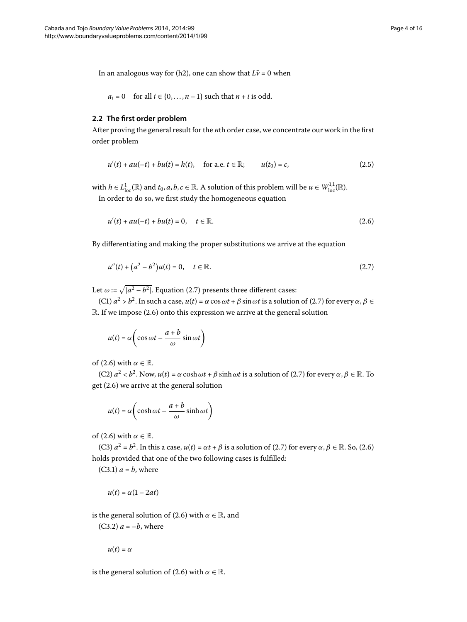In an analogous way for (h2), one can show that  $L\tilde{v} = 0$  when

<span id="page-3-2"></span> $a_i = 0$  for all  $i \in \{0, \ldots, n-1\}$  such that  $n + i$  is odd.

#### **2.2 The first order problem**

After proving the general result for the *n*th order case, we concentrate our work in the first order problem

<span id="page-3-1"></span>
$$
u'(t) + au(-t) + bu(t) = h(t), \quad \text{for a.e. } t \in \mathbb{R}; \qquad u(t_0) = c,
$$
 (2.5)

with  $h \in L^1_{loc}(\mathbb{R})$  and  $t_0, a, b, c \in \mathbb{R}$ . A solution of this problem will be  $u \in W^{1,1}_{loc}(\mathbb{R})$ .

In order to do so, we first study the homogeneous equation

<span id="page-3-0"></span>
$$
u'(t) + au(-t) + bu(t) = 0, \quad t \in \mathbb{R}.
$$
 (2.6)

By differentiating and making the proper substitutions we arrive at the equation

$$
u''(t) + (a^2 - b^2)u(t) = 0, \quad t \in \mathbb{R}.
$$
 (2.7)

Let  $\omega := \sqrt{|a^2 - b^2|}$ . Equation (2.7) presents three different cases:

 $(C1)$   $a^2 > b^2$ . In such a case,  $u(t) = \alpha \cos \omega t + \beta \sin \omega t$  is a solution of (2.7) for every  $\alpha, \beta \in$  $\mathbb R$ . If we impose (2.6) onto this expression we arrive at the general solution

$$
u(t) = \alpha \left( \cos \omega t - \frac{a+b}{\omega} \sin \omega t \right)
$$

of (2[.](#page-3-1)6) with  $\alpha \in \mathbb{R}$ .

 $(C2)$   $a^2 < b^2$ . Now,  $u(t) = \alpha \cosh \omega t + \beta \sinh \omega t$  is a solution of (2.7) for every  $\alpha, \beta \in \mathbb{R}$ . To get  $(2.6)$  we arrive at the general solution

$$
u(t) = \alpha \left( \cosh \omega t - \frac{a+b}{\omega} \sinh \omega t \right)
$$

of (2[.](#page-3-1)6) with  $\alpha \in \mathbb{R}$ .

(C3)  $a^2 = b^2$ . In this a case,  $u(t) = \alpha t + \beta$  is a solution of (2.7) for every  $\alpha, \beta \in \mathbb{R}$ . So, (2.6) holds provided that one of the two following cases is fulfilled:

 $(C3.1)$   $a = b$ , where

$$
u(t) = \alpha(1 - 2at)
$$

is the general solution of (2.6) with  $\alpha \in \mathbb{R}$ , and

 $(C3.2)$   $a = -b$ , where

 $u(t) = \alpha$ 

is the general solution of (2.6) with  $\alpha \in \mathbb{R}$ .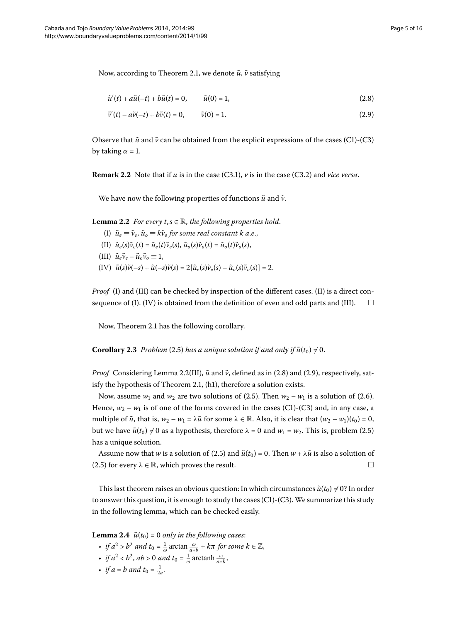Now, according to Theorem 2[.](#page-1-2)1, we denote  $\tilde{u}$ ,  $\tilde{v}$  satisfying

<span id="page-4-2"></span><span id="page-4-1"></span>
$$
\tilde{u}'(t) + a\tilde{u}(-t) + b\tilde{u}(t) = 0, \qquad \tilde{u}(0) = 1,
$$
\n(2.8)

$$
\tilde{\nu}'(t) - a\tilde{\nu}(-t) + b\tilde{\nu}(t) = 0, \qquad \tilde{\nu}(0) = 1.
$$
\n(2.9)

<span id="page-4-0"></span>Observe that  $\tilde{u}$  and  $\tilde{v}$  can be obtained from the explicit expressions of the cases (C1)-(C3) by taking  $\alpha = 1$ .

**Remark 2.2** Note that if  $u$  is in the case (C3.1),  $v$  is in the case (C3.2) and *vice versa*.

We have now the following properties of functions  $\tilde{u}$  and  $\tilde{v}$ .

**Lemma 2.2** For every  $t, s \in \mathbb{R}$ , the following properties hold.

- (I)  $\tilde{u}_e \equiv \tilde{v}_e$ ,  $\tilde{u}_o \equiv k\tilde{v}_o$  *for some real constant k a.e.*, (II)  $\tilde{u}_e(s)\tilde{v}_e(t) = \tilde{u}_e(t)\tilde{v}_e(s), \tilde{u}_o(s)\tilde{v}_o(t) = \tilde{u}_o(t)\tilde{v}_o(s),$ (III)  $\tilde{u}_e \tilde{v}_e - \tilde{u}_o \tilde{v}_o \equiv 1$ ,
- $(\text{IV})$   $\tilde{u}(s)\tilde{v}(-s) + \tilde{u}(-s)\tilde{v}(s) = 2[\tilde{u}_e(s)\tilde{v}_e(s) \tilde{u}_o(s)\tilde{v}_o(s)] = 2.$

*Proof* (I) and (III) can be checked by inspection of the different cases. (II) is a direct consequence of (I). (IV) is obtained from the definition of even and odd parts and (III).  $\Box$ 

Now, Theorem 2[.](#page-1-2)1 has the following corollary.

**Corollary 2.3** Problem (2.5) has a unique solution if and only if  $\tilde{u}(t_0) \neq 0$ .

*Proof* Considering Lemma 2[.](#page-4-0)2(III),  $\tilde{u}$  and  $\tilde{v}$ , defined as in (2.8) and (2.9), respectively, sat-isfy the hypothesis of Theorem 2[.](#page-1-2)1, (h1), therefore a solution exists.

Now, assume  $w_1$  and  $w_2$  are two solutions of (2.5). Then  $w_2 - w_1$  is a solution of (2.6). Hence,  $w_2 - w_1$  is of one of the forms covered in the cases (C1)-(C3) and, in any case, a multiple of  $\tilde{u}$ , that is,  $w_2 - w_1 = \lambda \tilde{u}$  for some  $\lambda \in \mathbb{R}$ . Also, it is clear that  $(w_2 - w_1)(t_0) = 0$ , but we have  $\tilde{u}(t_0) \neq 0$  as a hypothesis, therefore  $\lambda = 0$  and  $w_1 = w_2$ [.](#page-3-2) This is, problem (2.5) has a unique solution.

Assume now that *w* is a solution of (2.5) and  $\tilde{u}(t_0) = 0$ . Then  $w + \lambda \tilde{u}$  is also a solution of (2.5) for every  $\lambda \in \mathbb{R}$ , which proves the result.  $\Box$ 

This last theorem raises an obvious question: In which circumstances  $\tilde{u}(t_0) \neq 0$ ? In order to answer this question, it is enough to study the cases  $(C1)-(C3)$ . We summarize this study in the following lemma, which can be checked easily.

**Lemma 2.4**  $\tilde{u}(t_0) = 0$  only in the following cases:

- *if*  $a^2 > b^2$  and  $t_0 = \frac{1}{\omega} \arctan \frac{\omega}{a+b} + k\pi$  for some  $k \in \mathbb{Z}$ ,
- *if*  $a^2 < b^2$ ,  $ab > 0$  and  $t_0 = \frac{1}{\omega}$  arctanh  $\frac{\omega}{a+b}$ ,
- *if*  $a = b$  *and*  $t_0 = \frac{1}{2a}$ .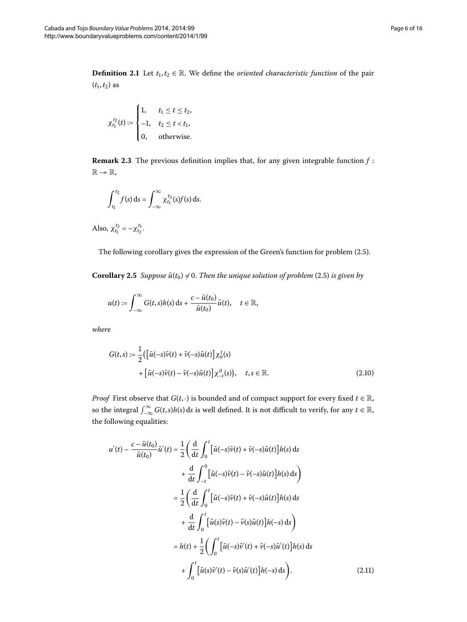**Definition 2.1** Let  $t_1, t_2 \in \mathbb{R}$ . We define the *oriented characteristic function* of the pair  $(t_1, t_2)$  as

$$
\chi_{t_1}^{t_2}(t) := \begin{cases} 1, & t_1 \leq t \leq t_2, \\ -1, & t_2 \leq t < t_1, \\ 0, & \text{otherwise.} \end{cases}
$$

**Remark 2.3** The previous definition implies that, for any given integrable function  $f$ :  $\mathbb{R} \to \mathbb{R}$ ,

$$
\int_{t_1}^{t_2} f(s) \, \mathrm{d} s = \int_{-\infty}^{\infty} \chi_{t_1}^{t_2}(s) f(s) \, \mathrm{d} s.
$$

Also,  $\chi_{t_1}^{t_2} = -\chi_{t_2}^{t_1}$ .

The following corollary gives the expression of the Green's function for problem (2.5).

**Corollary 2[.](#page-3-2)5** *Suppose*  $\tilde{u}(t_0) \neq 0$ *. Then the unique solution of problem* (2.5) *is given by* 

<span id="page-5-1"></span>
$$
u(t):=\int_{-\infty}^{\infty}G(t,s)h(s)\,\mathrm{d} s+\frac{c-\bar{u}(t_0)}{\tilde{u}(t_0)}\tilde{u}(t),\quad t\in\mathbb{R},
$$

*where*

$$
G(t,s) := \frac{1}{2} \left( \left[ \tilde{u}(-s)\tilde{v}(t) + \tilde{v}(-s)\tilde{u}(t) \right] \chi_0^t(s) + \left[ \tilde{u}(-s)\tilde{v}(t) - \tilde{v}(-s)\tilde{u}(t) \right] \chi_{-t}^0(s) \right), \quad t, s \in \mathbb{R}.
$$
\n(2.10)

*Proof* First observe that *G*(*t*, ·) is bounded and of compact support for every fixed *t*  $\in \mathbb{R}$ , so the integral  $\int_{-\infty}^{\infty} G(t,s)h(s) ds$  is well defined. It is not difficult to verify, for any  $t \in \mathbb{R}$ , the following equalities:

<span id="page-5-0"></span>
$$
u'(t) - \frac{c - \bar{u}(t_0)}{\tilde{u}(t_0)} \tilde{u}'(t) = \frac{1}{2} \left( \frac{d}{dt} \int_0^t \left[ \tilde{u}(-s)\tilde{v}(t) + \tilde{v}(-s)\tilde{u}(t) \right] h(s) ds + \frac{d}{dt} \int_{-t}^0 \left[ \tilde{u}(-s)\tilde{v}(t) - \tilde{v}(-s)\tilde{u}(t) \right] h(s) ds \right) = \frac{1}{2} \left( \frac{d}{dt} \int_0^t \left[ \tilde{u}(-s)\tilde{v}(t) + \tilde{v}(-s)\tilde{u}(t) \right] h(s) ds + \frac{d}{dt} \int_0^t \left[ \tilde{u}(s)\tilde{v}(t) - \tilde{v}(s)\tilde{u}(t) \right] h(-s) ds \right) = h(t) + \frac{1}{2} \left( \int_0^t \left[ \tilde{u}(-s)\tilde{v}'(t) + \tilde{v}(-s)\tilde{u}'(t) \right] h(s) ds + \int_0^t \left[ \tilde{u}(s)\tilde{v}'(t) - \tilde{v}(s)\tilde{u}'(t) \right] h(-s) ds \right).
$$
(2.11)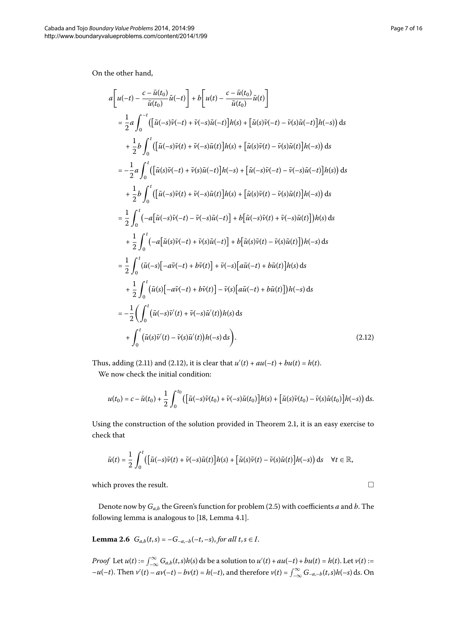On the other hand,

$$
a\left[u(-t) - \frac{c - \bar{u}(t_0)}{\bar{u}(t_0)}\tilde{u}(-t)\right] + b\left[u(t) - \frac{c - \bar{u}(t_0)}{\bar{u}(t_0)}\tilde{u}(t)\right]
$$
  
\n
$$
= \frac{1}{2}a\int_0^{-t} \left(\left[\tilde{u}(-s)\tilde{v}(-t) + \tilde{v}(-s)\tilde{u}(-t)\right]h(s) + \left[\tilde{u}(s)\tilde{v}(-t) - \tilde{v}(s)\tilde{u}(-t)\right]h(-s)\right)ds
$$
  
\n
$$
+ \frac{1}{2}b\int_0^t \left(\left[\tilde{u}(-s)\tilde{v}(t) + \tilde{v}(-s)\tilde{u}(t)\right]h(s) + \left[\tilde{u}(s)\tilde{v}(t) - \tilde{v}(s)\tilde{u}(t)\right]h(-s)\right)ds
$$
  
\n
$$
= -\frac{1}{2}a\int_0^t \left(\left[\tilde{u}(s)\tilde{v}(-t) + \tilde{v}(s)\tilde{u}(-t)\right]h(-s) + \left[\tilde{u}(-s)\tilde{v}(-t) - \tilde{v}(-s)\tilde{u}(-t)\right]h(s)\right)ds
$$
  
\n
$$
+ \frac{1}{2}b\int_0^t \left(\left[\tilde{u}(-s)\tilde{v}(t) + \tilde{v}(-s)\tilde{u}(t)\right]h(s) + \left[\tilde{u}(s)\tilde{v}(t) - \tilde{v}(s)\tilde{u}(t)\right]h(-s)\right)ds
$$
  
\n
$$
= \frac{1}{2}\int_0^t (-a\left[\tilde{u}(s)\tilde{v}(-t) - \tilde{v}(-s)\tilde{u}(-t)\right] + b\left[\tilde{u}(-s)\tilde{v}(t) + \tilde{v}(-s)\tilde{u}(t)\right])h(s)ds
$$
  
\n
$$
+ \frac{1}{2}\int_0^t (-a\left[\tilde{u}(s)\tilde{v}(-t) + \tilde{v}(s)\tilde{u}(-t)\right] + b\left[\tilde{u}(s)\tilde{v}(t) - \tilde{v}(s)\tilde{u}(t)\right])h(-s)ds
$$
  
\

Thus, adding (2[.](#page-6-0)11) and (2.12), it is clear that  $u'(t) + au(-t) + bu(t) = h(t)$ .

We now check the initial condition:

$$
u(t_0) = c - \bar{u}(t_0) + \frac{1}{2} \int_0^{t_0} \left( \left[ \tilde{u}(-s)\tilde{v}(t_0) + \tilde{v}(-s)\tilde{u}(t_0) \right] h(s) + \left[ \tilde{u}(s)\tilde{v}(t_0) - \tilde{v}(s)\tilde{u}(t_0) \right] h(-s) \right) ds.
$$

Using the construction of the solution provided in Theorem 2[.](#page-1-2)1, it is an easy exercise to check that

$$
\bar{u}(t) = \frac{1}{2} \int_0^t \left( \left[ \tilde{u}(-s)\tilde{v}(t) + \tilde{v}(-s)\tilde{u}(t) \right] h(s) + \left[ \tilde{u}(s)\tilde{v}(t) - \tilde{v}(s)\tilde{u}(t) \right] h(-s) \right) ds \quad \forall t \in \mathbb{R},
$$

which proves the result.

Denote now by  $G_{a,b}$  the Green's function for problem (2.5) with coefficients  $a$  and  $b$ . The following lemma is analogous to  $[18, Lemma 4.1].$  $[18, Lemma 4.1].$  $[18, Lemma 4.1].$ 

**Lemma 2.6**  $G_{a,b}(t,s) = -G_{-a,-b}(-t,-s)$ , for all  $t,s \in I$ .

*Proof* Let  $u(t) := \int_{-\infty}^{\infty} G_{a,b}(t,s)h(s) ds$  be a solution to  $u'(t) + au(-t) + bu(t) = h(t)$ . Let  $v(t) :=$  $-u(-t)$ . Then  $v'(t) - av(-t) - bv(t) = h(-t)$ , and therefore  $v(t) = \int_{-\infty}^{\infty} G_{-a,-b}(t,s)h(-s) ds$ . On

<span id="page-6-0"></span> $\Box$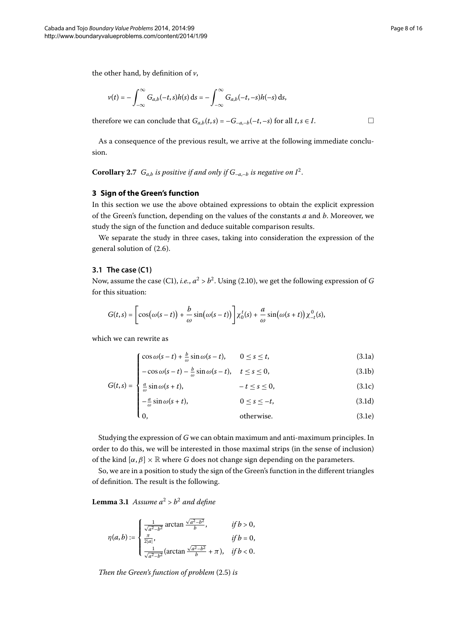the other hand, by definition of *v*,

$$
v(t)=-\int_{-\infty}^{\infty}G_{a,b}(-t,s)h(s)\,\mathrm{d}s=-\int_{-\infty}^{\infty}G_{a,b}(-t,-s)h(-s)\,\mathrm{d}s,
$$

<span id="page-7-0"></span>therefore we can conclude that  $G_{a,b}(t,s) = -G_{-a,-b}(-t,-s)$  for all  $t,s \in I$ .

As a consequence of the previous result, we arrive at the following immediate conclusion.

**Corollary 2.7**  $G_{a,b}$  *is positive if and only if*  $G_{-a,-b}$  *is negative on*  $I^2$ .

# **3 Sign of the Green's function**

In this section we use the above obtained expressions to obtain the explicit expression of the Green's function, depending on the values of the constants *a* and *b*. Moreover, we study the sign of the function and deduce suitable comparison results.

We separate the study in three cases, taking into consideration the expression of the general solution of  $(2.6)$ .

#### **3.1 The case (C1)**

Now, assume the case (C1), *i[.](#page-5-1)e.*,  $a^2 > b^2$ . Using (2.10), we get the following expression of *G* for this situation:

$$
G(t,s) = \left[\cos(\omega(s-t)) + \frac{b}{\omega}\sin(\omega(s-t))\right] \chi_0^t(s) + \frac{a}{\omega}\sin(\omega(s+t)) \chi_{-t}^0(s),
$$

which we can rewrite as

<span id="page-7-3"></span><span id="page-7-2"></span><span id="page-7-1"></span>
$$
\int \cos \omega (s-t) + \frac{b}{\omega} \sin \omega (s-t), \qquad 0 \le s \le t,
$$
\n(3.1a)

$$
-\cos\omega(s-t)-\frac{b}{\omega}\sin\omega(s-t), \quad t \le s \le 0,
$$
\n(3.1b)

$$
G(t,s) = \begin{cases} \frac{a}{\omega} \sin \omega (s+t), & -t \le s \le 0, \end{cases}
$$
 (3.1c)

$$
-\frac{a}{\omega}\sin\omega(s+t), \qquad 0 \le s \le -t, \qquad (3.1d)
$$

 $\vert$ <sub>0</sub>  $otherwise.$  (3.1e)

Studying the expression of *G* we can obtain maximum and anti-maximum principles. In order to do this, we will be interested in those maximal strips (in the sense of inclusion) of the kind  $[\alpha, \beta] \times \mathbb{R}$  where *G* does not change sign depending on the parameters.

So, we are in a position to study the sign of the Green's function in the different triangles of definition. The result is the following.

**Lemma 3.1** Assume  $a^2 > b^2$  and define

$$
\eta(a,b):=\begin{cases} \frac{1}{\sqrt{a^2-b^2}}\arctan\frac{\sqrt{a^2-b^2}}{b},\quad&\text{if }b>0,\\ \frac{\pi}{2|a|},\quad&\text{if }b=0,\\ \frac{1}{\sqrt{a^2-b^2}}(\arctan\frac{\sqrt{a^2-b^2}}{b}+\pi),&\text{if }b<0.\end{cases}
$$

*Then the Green's function of problem* (2.5) *is*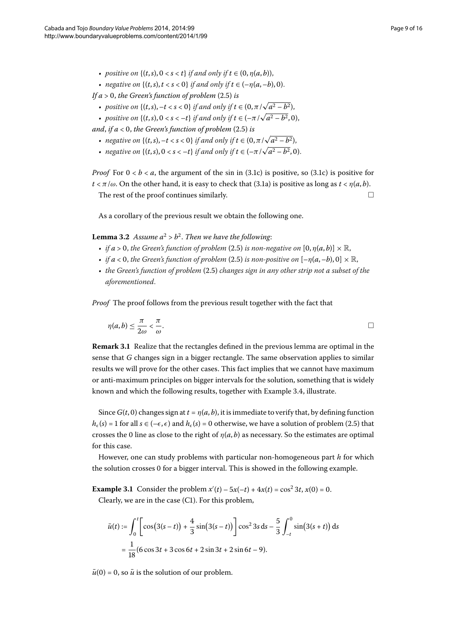• *negative on*  $\{(t, s), t < s < 0\}$  *if and only if*  $t \in (-\eta(a, -b), 0)$ .

*If a*  $> 0$ *, the Green's function of problem* (2.5) *is* 

- *positive on*  $\{(t, s), -t < s < 0\}$  *if and only if*  $t \in (0, \pi/\sqrt{a^2 b^2})$ ,
- *positive on*  $\{(t, s), 0 < s < -t\}$  *if and only if*  $t \in (-\pi/\sqrt{a^2 b^2}, 0)$ ,

and, if  $a < 0$ , the Green's function of problem  $(2.5)$  is

- *negative on*  $\{(t, s), -t < s < 0\}$  *if and only if*  $t \in (0, \pi/\sqrt{a^2 b^2})$ ,
- *negative on*  $\{(t, s), 0 < s < -t\}$  *if and only if*  $t \in (-\pi/\sqrt{a^2 b^2}, 0)$ .

<span id="page-8-0"></span>*Proof* For  $0 < b < a$ , the argument of the sin in (3.1c) is positive, so (3.1c) is positive for  $t < \pi/\omega$ . On the other hand, it is easy to check that (3.1a) is positive as long as  $t < \eta(a, b)$ .

The rest of the proof continues similarly.  $\Box$ 

As a corollary of the previous result we obtain the following one.

**Lemma 3.2** Assume  $a^2 > b^2$ . Then we have the following:

- *if*  $a > 0$ , the Green's function of problem (2.5) is non-negative on  $[0, \eta(a, b)] \times \mathbb{R}$ ,
- *if*  $a < 0$ , the Green's function of problem (2.5) is non-positive on  $[-\eta(a, -b), 0] \times \mathbb{R}$ ,
- the Green's function of problem (2.5) changes sign in any other strip not a subset of the *aforementioned*.

*Proof* The proof follows from the previous result together with the fact that

$$
\eta(a,b) \leq \frac{\pi}{2\omega} < \frac{\pi}{\omega}.\tag{}
$$

**Remark 3.1** Realize that the rectangles defined in the previous lemma are optimal in the sense that *G* changes sign in a bigger rectangle. The same observation applies to similar results we will prove for the other cases. This fact implies that we cannot have maximum or anti-maximum principles on bigger intervals for the solution, something that is widely known and which the following results, together with Example 3.4, illustrate.

Since  $G(t, 0)$  changes sign at  $t = \eta(a, b)$ , it is immediate to verify that, by defining function  $h_{\epsilon}(s) = 1$  for all  $s \in (-\epsilon, \epsilon)$  and  $h_{\epsilon}(s) = 0$  otherwise, we have a solution of problem (2.5) that crosses the 0 line as close to the right of  $\eta(a, b)$  as necessary. So the estimates are optimal for this case.

However, one can study problems with particular non-homogeneous part *h* for which the solution crosses 0 for a bigger interval. This is showed in the following example.

**Example 3.1** Consider the problem  $x'(t) - 5x(-t) + 4x(t) = \cos^2 3t$ ,  $x(0) = 0$ . Clearly, we are in the case  $(C1)$ . For this problem,

$$
\bar{u}(t) := \int_0^t \left[ \cos(3(s-t)) + \frac{4}{3} \sin(3(s-t)) \right] \cos^2 3s \, ds - \frac{5}{3} \int_{-t}^0 \sin(3(s+t)) \, ds
$$

$$
= \frac{1}{18} (6 \cos 3t + 3 \cos 6t + 2 \sin 3t + 2 \sin 6t - 9).
$$

 $\bar{u}(0) = 0$ , so  $\bar{u}$  is the solution of our problem.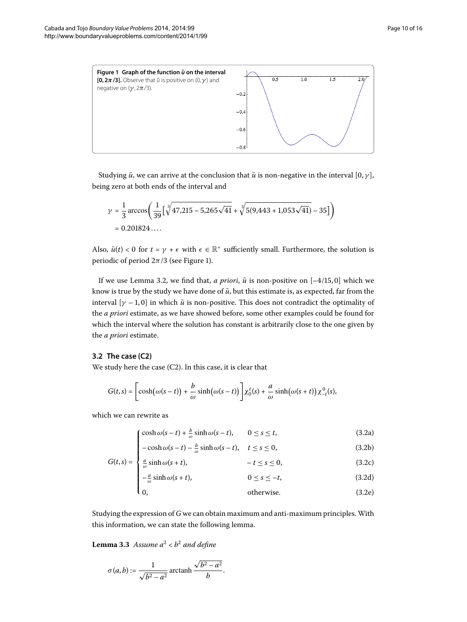<span id="page-9-0"></span>

Studying  $\bar{u}$ , we can arrive at the conclusion that  $\bar{u}$  is non-negative in the interval [0,  $\gamma$ ], being zero at both ends of the interval and

$$
\gamma = \frac{1}{3} \arccos\left(\frac{1}{39} \left[\sqrt[3]{47,215 - 5,265\sqrt{41}} + \sqrt[3]{5(9,443 + 1,053\sqrt{41})} - 35\right]\right)
$$
  
= 0.201824....

Also,  $\bar{u}(t) < 0$  for  $t = \gamma + \epsilon$  with  $\epsilon \in \mathbb{R}^+$  sufficiently small. Furthermore, the solution is periodic of period  $2\pi/3$  (see Figure 1[\)](#page-9-0).

If we use Lemma 3[.](#page-8-0)2, we find that, *a priori*,  $\bar{u}$  is non-positive on  $[-4/15, 0]$  which we know is true by the study we have done of  $\bar{u}$ , but this estimate is, as expected, far from the interval  $[\gamma - 1, 0]$  in which  $\bar{u}$  is non-positive. This does not contradict the optimality of the *a priori* estimate, as we have showed before, some other examples could be found for which the interval where the solution has constant is arbitrarily close to the one given by the *a priori* estimate.

#### **3.2 The case (C2)**

We study here the case  $(C2)$ . In this case, it is clear that

$$
G(t,s)=\left[\cosh\bigl(\omega(s-t)\bigr)+\frac{b}{\omega}\sinh\bigl(\omega(s-t)\bigr)\right]\chi_0^t(s)+\frac{a}{\omega}\sinh\bigl(\omega(s+t)\bigr)\chi_{-t}^0(s),
$$

which we can rewrite as

<span id="page-9-4"></span><span id="page-9-3"></span><span id="page-9-2"></span><span id="page-9-1"></span>
$$
\int \cosh \omega (s-t) + \frac{b}{\omega} \sinh \omega (s-t), \qquad 0 \le s \le t,
$$
\n(3.2a)

$$
\begin{cases}\n-\cosh \omega (s-t) - \frac{b}{\omega} \sinh \omega (s-t), & t \le s \le 0, \\
a \sinh \omega (s+t) & t \le s \le 0\n\end{cases}
$$
\n(3.2b)

$$
G(t,s) = \begin{cases} \frac{a}{\omega} \sinh \omega (s+t), & -t \le s \le 0, \end{cases}
$$
 (3.2c)

$$
-\frac{a}{\omega}\sinh\omega(s+t), \qquad 0 \le s \le -t,\tag{3.2d}
$$

 $\mathbf{a}$  $otherwise.$  (3.2e)

Studying the expression of *G* we can obtain maximum and anti-maximum principles.With this information, we can state the following lemma.

**Lemma 3.3** Assume  $a^2 < b^2$  and define

$$
\sigma(a,b) := \frac{1}{\sqrt{b^2 - a^2}} \operatorname{arctanh} \frac{\sqrt{b^2 - a^2}}{b}.
$$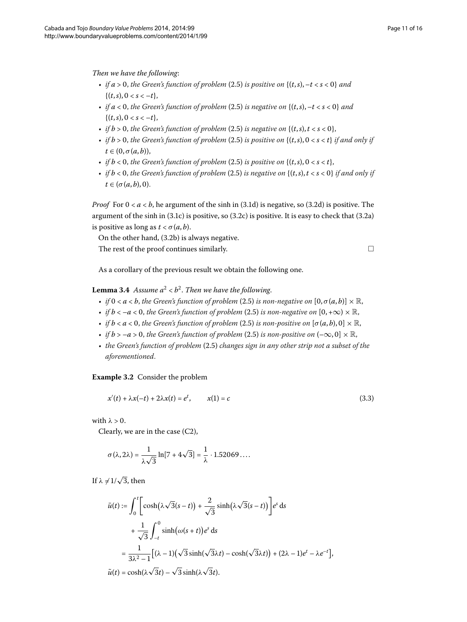*Then we have the following*:

- *if*  $a > 0$ , the Green's function of problem (2.5) is positive on  $\{(t, s), -t < s < 0\}$  and  $\{(t,s), 0 < s < -t\},\$
- *if*  $a < 0$ , the Green's function of problem (2.5) is negative on  $\{(t, s), -t < s < 0\}$  and  $\{(t,s), 0 < s < -t\},\$
- *if*  $b > 0$ , the Green's function of problem (2.5) is negative on  $\{(t, s), t < s < 0\}$ ,
- *if*  $b > 0$ , the Green's function of problem (2.5) is positive on  $\{(t, s), 0 < s < t\}$  if and only if  $t \in (0, \sigma(a, b)),$
- *if*  $b < 0$ , the Green's function of problem (2.5) is positive on  $\{(t, s), 0 < s < t\}$ ,
- *if*  $b < 0$ , the Green's function of problem (2.5) is negative on  $\{(t, s), t < s < 0\}$  if and only if  $t \in (\sigma(a, b), 0).$

<span id="page-10-1"></span>*Proof* For  $0 < a < b$ , he argument of the sinh in (3.1d) is negative, so (3.2d) is positive. The argument of the sinh in  $(3.1c)$  is positive, so  $(3.2c)$  is positive. It is easy to check that  $(3.2a)$ is positive as long as  $t < \sigma(a, b)$ .

On the other hand,  $(3.2b)$  is always negative.

The rest of the proof continues similarly.  $\Box$ 

<span id="page-10-0"></span>

As a corollary of the previous result we obtain the following one.

# **Lemma 3.4** *Assume*  $a^2 < b^2$ *. Then we have the following.*

- *if*  $0 < a < b$ , the Green's function of problem (2.5) is non-negative on  $[0, \sigma(a, b)] \times \mathbb{R}$ ,
- *if*  $b < -a < 0$ , the Green's function of problem (2[.](#page-3-2)5) is non-negative on  $[0, +\infty) \times \mathbb{R}$ ,
- *if*  $b < a < 0$ , the Green's function of problem (2.5) is non-positive on  $[\sigma(a, b), 0] \times \mathbb{R}$ ,
- *if*  $b > -a > 0$ , the Green's function of problem (2[.](#page-3-2)5) is non-positive on  $(-\infty, 0] \times \mathbb{R}$ ,
- the Green's function of problem (2.5) changes sign in any other strip not a subset of the *aforementioned*.

# **Example 3.2** Consider the problem

$$
x'(t) + \lambda x(-t) + 2\lambda x(t) = e^t, \qquad x(1) = c \tag{3.3}
$$

with  $\lambda > 0$ .

Clearly, we are in the case  $(C2)$ ,

$$
\sigma(\lambda, 2\lambda) = \frac{1}{\lambda\sqrt{3}}\ln[7 + 4\sqrt{3}] = \frac{1}{\lambda} \cdot 1.52069\dots
$$

If  $\lambda \neq 1/\sqrt{3}$ , then

$$
\bar{u}(t) := \int_0^t \left[ \cosh(\lambda \sqrt{3}(s-t)) + \frac{2}{\sqrt{3}} \sinh(\lambda \sqrt{3}(s-t)) \right] e^s ds
$$
  
+ 
$$
\frac{1}{\sqrt{3}} \int_{-t}^0 \sinh(\omega(s+t)) e^s ds
$$
  
= 
$$
\frac{1}{3\lambda^2 - 1} [(\lambda - 1)(\sqrt{3}\sinh(\sqrt{3}\lambda t) - \cosh(\sqrt{3}\lambda t)) + (2\lambda - 1)e^t - \lambda e^{-t}],
$$
  

$$
\tilde{u}(t) = \cosh(\lambda \sqrt{3}t) - \sqrt{3}\sinh(\lambda \sqrt{3}t).
$$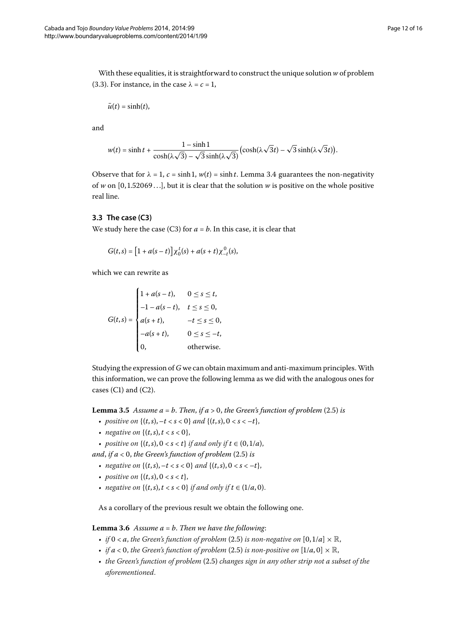With these equalities, it is straightforward to construct the unique solution *w* of problem (3.3). For instance, in the case  $\lambda = c = 1$ ,

$$
\bar{u}(t)=\sinh(t),
$$

and

$$
w(t) = \sinh t + \frac{1 - \sinh 1}{\cosh(\lambda \sqrt{3}) - \sqrt{3} \sinh(\lambda \sqrt{3})} \left(\cosh(\lambda \sqrt{3}t) - \sqrt{3} \sinh(\lambda \sqrt{3}t)\right).
$$

Observe that for  $\lambda = 1$ ,  $c = \sinh 1$ ,  $w(t) = \sinh t$ [.](#page-10-1) Lemma 3.4 guarantees the non-negativity of *w* on  $[0, 1.52069...]$ , but it is clear that the solution *w* is positive on the whole positive real line.

#### **3.3 The case (C3)**

We study here the case (C3) for  $a = b$ . In this case, it is clear that

$$
G(t,s) = [1 + a(s-t)] \chi_0^t(s) + a(s+t) \chi_{-t}^0(s),
$$

which we can rewrite as

$$
G(t,s) = \begin{cases} 1 + a(s-t), & 0 \le s \le t, \\ -1 - a(s-t), & t \le s \le 0, \\ a(s+t), & -t \le s \le 0, \\ -a(s+t), & 0 \le s \le -t, \\ 0, & \text{otherwise.} \end{cases}
$$

Studying the expression of *G* we can obtain maximum and anti-maximum principles.With this information, we can prove the following lemma as we did with the analogous ones for cases  $(C1)$  and  $(C2)$ .

**Lemma 3.5** Assume  $a = b$ . Then, if  $a > 0$ , the Green's function of problem (2.5) is

- *positive on*  $\{(t, s), -t < s < 0\}$  *and*  $\{(t, s), 0 < s < -t\}$ ,
- *negative on*  $\{(t,s), t < s < 0\}$ ,
- *positive on*  $\{(t,s), 0 < s < t\}$  *if and only if*  $t \in (0,1/a)$ ,
- <span id="page-11-0"></span>*and, if a* < 0*, the Green's function of problem* (2.5) *is* 
	- *negative on*  $\{(t, s), -t < s < 0\}$  and  $\{(t, s), 0 < s < -t\}$ ,
	- *positive on*  $\{(t, s), 0 < s < t\},\$
	- *negative on*  $\{(t, s), t < s < 0\}$  *if and only if*  $t \in (1/a, 0)$ .

As a corollary of the previous result we obtain the following one.

# **Lemma 3.6** Assume  $a = b$ . Then we have the following:

- *if*  $0 < a$ , the Green's function of problem (2.5) is non-negative on  $[0,1/a] \times \mathbb{R}$ ,
- *if*  $a < 0$ , the Green's function of problem (2.5) is non-positive on  $[1/a, 0] \times \mathbb{R}$ ,
- the Green's function of problem (2.5) changes sign in any other strip not a subset of the *aforementioned*.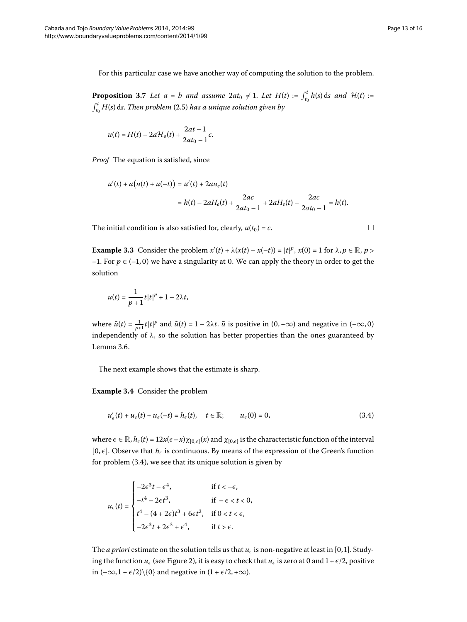For this particular case we have another way of computing the solution to the problem.

**Proposition 3.7** Let  $a = b$  and assume  $2at_0 \neq 1$ . Let  $H(t) := \int_{t_0}^t h(s) ds$  and  $H(t) :=$  $\int_{t_0}^t H(s) \, \mathrm{d}s$ . *Then problem* (2.5) *has a unique solution given by* 

$$
u(t) = H(t) - 2aH_0(t) + \frac{2at - 1}{2at_0 - 1}c.
$$

*Proof* The equation is satisfied, since

$$
u'(t) + a(u(t) + u(-t)) = u'(t) + 2au_e(t)
$$
  
=  $h(t) - 2aH_e(t) + \frac{2ac}{2at_0 - 1} + 2aH_e(t) - \frac{2ac}{2at_0 - 1} = h(t).$ 

The initial condition is also satisfied for, clearly,  $u(t_0) = c$ .  $\Box$ 

**Example 3.3** Consider the problem  $x'(t) + \lambda(x(t) - x(-t)) = |t|^p$ ,  $x(0) = 1$  for  $\lambda, p \in \mathbb{R}$ ,  $p >$ –1. For  $p \in (-1,0)$  we have a singularity at 0. We can apply the theory in order to get the solution

<span id="page-12-1"></span>
$$
u(t) = \frac{1}{p+1}t|t|^p + 1 - 2\lambda t,
$$

<span id="page-12-0"></span>where  $\bar{u}(t) = \frac{1}{p+1}t|t|^p$  and  $\tilde{u}(t) = 1 - 2\lambda t$ .  $\bar{u}$  is positive in  $(0, +\infty)$  and negative in  $(-\infty, 0)$ independently of  $\lambda$ , so the solution has better properties than the ones guaranteed by Lemma 3[.](#page-11-0)6.

The next example shows that the estimate is sharp.

**Example 3.4** Consider the problem

$$
u'_{\epsilon}(t) + u_{\epsilon}(t) + u_{\epsilon}(-t) = h_{\epsilon}(t), \quad t \in \mathbb{R}; \qquad u_{\epsilon}(0) = 0,
$$
\n(3.4)

where  $\epsilon \in \mathbb{R}$ ,  $h_{\epsilon}(t) = 12x(\epsilon - x)\chi_{[0,\epsilon]}(x)$  and  $\chi_{[0,\epsilon]}$  is the characteristic function of the interval  $[0, \epsilon]$ . Observe that  $h_{\epsilon}$  is continuous. By means of the expression of the Green's function for problem  $(3.4)$ , we see that its unique solution is given by

$$
u_{\epsilon}(t) = \begin{cases} -2\epsilon^3 t - \epsilon^4, & \text{if } t < -\epsilon, \\ -t^4 - 2\epsilon t^3, & \text{if } -\epsilon < t < 0, \\ t^4 - (4 + 2\epsilon)t^3 + 6\epsilon t^2, & \text{if } 0 < t < \epsilon, \\ -2\epsilon^3 t + 2\epsilon^3 + \epsilon^4, & \text{if } t > \epsilon. \end{cases}
$$

The *a priori* estimate on the solution tells us that  $u_{\epsilon}$  is non-negative at least in [0,1]. Studying the function  $u_{\epsilon}$  (see Figure 2[\)](#page-13-0), it is easy to check that  $u_{\epsilon}$  is zero at 0 and  $1 + \epsilon/2$ , positive in  $(-\infty, 1 + \epsilon/2) \setminus \{0\}$  and negative in  $(1 + \epsilon/2, +\infty)$ .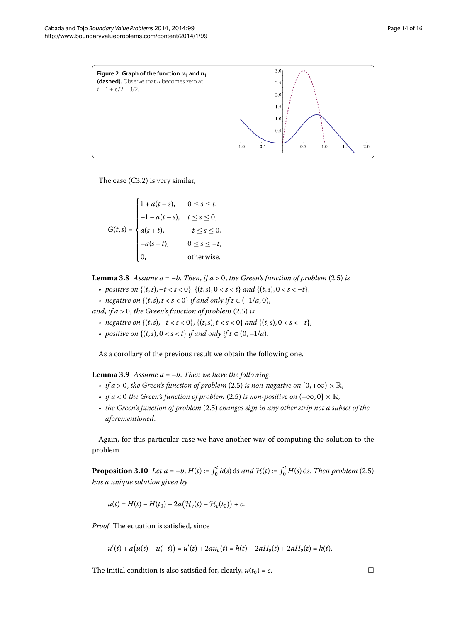<span id="page-13-0"></span>

The case  $(C3.2)$  is very similar,

$$
G(t,s) = \begin{cases} 1 + a(t-s), & 0 \le s \le t, \\ -1 - a(t-s), & t \le s \le 0, \\ a(s+t), & -t \le s \le 0, \\ -a(s+t), & 0 \le s \le -t, \\ 0, & \text{otherwise.} \end{cases}
$$

**Lemma 3.8** Assume  $a = -b$ . Then, if  $a > 0$ , the Green's function of problem (2.5) is

- *positive on*  $\{(t, s), -t < s < 0\}, \{(t, s), 0 < s < t\}$  *and*  $\{(t, s), 0 < s < -t\}$ ,
- *negative on*  $\{(t,s), t < s < 0\}$  *if and only if*  $t \in (-1/a, 0)$ ,

<span id="page-13-1"></span>*and, if a* > 0*, the Green's function of problem*  $(2.5)$  *is* 

- *negative on*  $\{(t, s), -t < s < 0\}, \{(t, s), t < s < 0\}$  and  $\{(t, s), 0 < s < -t\}$ ,
- *positive on*  $\{(t, s), 0 < s < t\}$  *if and only if*  $t \in (0, -1/a)$ .

As a corollary of the previous result we obtain the following one.

**Lemma 3.9** Assume  $a = -b$ . Then we have the following:

- *if*  $a > 0$ , the Green's function of problem (2.5) is non-negative on  $[0, +\infty) \times \mathbb{R}$ ,
- *if*  $a < 0$  the Green's function of problem (2.5) is non-positive on  $(-\infty, 0] \times \mathbb{R}$ ,
- the Green's function of problem (2.5) changes sign in any other strip not a subset of the *aforementioned*.

Again, for this particular case we have another way of computing the solution to the problem.

**Proposition 3[.](#page-3-2)10** Let  $a = -b$ ,  $H(t) := \int_0^t h(s) ds$  and  $H(t) := \int_0^t H(s) ds$ . Then problem (2.5) *has a unique solution given by*

$$
u(t) = H(t) - H(t_0) - 2a\big(\mathcal{H}_e(t) - \mathcal{H}_e(t_0)\big) + c.
$$

*Proof* The equation is satisfied, since

$$
u'(t) + a(u(t) - u(-t)) = u'(t) + 2au_o(t) = h(t) - 2aH_o(t) + 2aH_o(t) = h(t).
$$

The initial condition is also satisfied for, clearly,  $u(t_0) = c$ .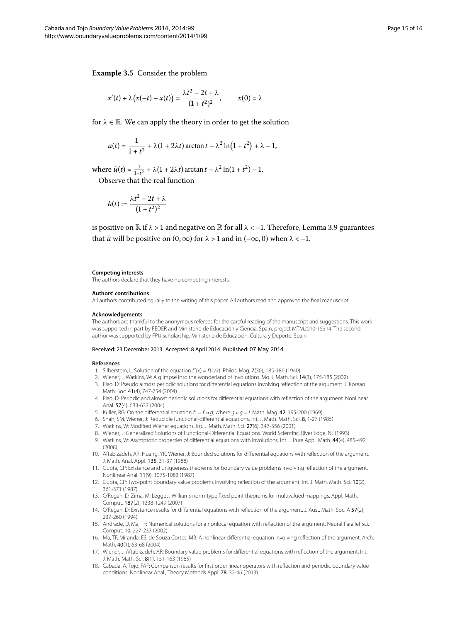$$
x'(t) + \lambda \big(x(-t) - x(t)\big) = \frac{\lambda t^2 - 2t + \lambda}{(1 + t^2)^2}, \qquad x(0) = \lambda
$$

for  $\lambda \in \mathbb{R}$ . We can apply the theory in order to get the solution

$$
u(t) = \frac{1}{1+t^2} + \lambda(1+2\lambda t) \arctan t - \lambda^2 \ln(1+t^2) + \lambda - 1,
$$

 $where \bar{u}(t) = \frac{1}{1+t^2} + λ(1 + 2λt) \arctan t - λ^2 \ln(1 + t^2) - 1.$ 

Observe that the real function

$$
h(t):=\frac{\lambda t^2-2t+\lambda}{(1+t^2)^2}
$$

is positive on  $\mathbb R$  if  $\lambda > 1$  and negative on  $\mathbb R$  for all  $\lambda < -1$ [.](#page-13-1) Therefore, Lemma 3.9 guarantees that  $\bar{u}$  will be positive on  $(0, \infty)$  for  $\lambda > 1$  and in  $(-\infty, 0)$  when  $\lambda < -1$ .

#### **Competing interests**

The authors declare that they have no competing interests.

#### **Authors' contributions**

<span id="page-14-1"></span><span id="page-14-0"></span>All authors contributed equally to the writing of this paper. All authors read and approved the final manuscript.

#### <span id="page-14-2"></span>**Acknowledgements**

<span id="page-14-3"></span>The authors are thankful to the anonymous referees for the careful reading of the manuscript and suggestions. This work was supported in part by FEDER and Ministerio de Educación y Ciencia, Spain, project MTM2010-15314. The second author was supported by FPU scholarship, Ministerio de Educación, Cultura y Deporte, Spain.

#### <span id="page-14-4"></span>Received: 23 December 2013 Accepted: 8 April 2014 Published: 07 May 2014

#### <span id="page-14-6"></span><span id="page-14-5"></span>**References**

- 1. Silberstein, L: Solution of the equation  $f'(x) = f(1/x)$ . Philos. Mag. 7(30), 185-186 (1940)
- <span id="page-14-7"></span>2. Wiener, J, Watkins, W: A glimpse into the wonderland of involutions. Mo. J. Math. Sci. 14(3), 175-185 (2002)
- 3. Piao, D: Pseudo almost periodic solutions for differential equations involving reflection of the argument. J. Korean Math. Soc. 41(4), 747-754 (2004)
- <span id="page-14-8"></span>4. Piao, D: Periodic and almost periodic solutions for differential equations with reflection of the argument. Nonlinear Anal. 57(4), 633-637 (2004)
- 5. Kuller, RG: On the differential equation  $f' = f \circ g$ , where  $g \circ g = l$ . Math. Mag. 42, 195-200 (1969)
- 6. Shah, SM, Wiener, J: Reducible functional-differential equations. Int. J. Math. Math. Sci. 8, 1-27 (1985)
- <span id="page-14-9"></span>7. Watkins, W: Modified Wiener equations. Int. J. Math. Math. Sci. 27(6), 347-356 (2001)
- 8. Wiener, J: Generalized Solutions of Functional-Differential Equations. World Scientific, River Edge, NJ (1993)
- <span id="page-14-10"></span>9. Watkins, W: Asymptotic properties of differential equations with involutions. Int. J. Pure Appl. Math. 44(4), 485-492 (2008)
- <span id="page-14-11"></span>10. Aftabizadeh, AR, Huang, YK, Wiener, J: Bounded solutions for differential equations with reflection of the argument. J. Math. Anal. Appl. 135, 31-37 (1988)
- 11. Gupta, CP: Existence and uniqueness theorems for boundary value problems involving reflection of the argument. Nonlinear Anal. 11(9), 1075-1083 (1987)
- <span id="page-14-12"></span>12. Gupta, CP: Two-point boundary value problems involving reflection of the argument. Int. J. Math. Math. Sci. 10(2), 361-371 (1987)
- <span id="page-14-13"></span>13. O'Regan, D, Zima, M: Leggett-Williams norm-type fixed point theorems for multivalued mappings. Appl. Math. Comput. 187(2), 1238-1249 (2007)
- 14. O'Regan, D: Existence results for differential equations with reflection of the argument. J. Aust. Math. Soc. A 57(2), 237-260 (1994)
- 15. Andrade, D, Ma, TF: Numerical solutions for a nonlocal equation with reflection of the argument. Neural Parallel Sci. Comput. 10, 227-233 (2002)
- 16. Ma, TF, Miranda, ES, de Souza Cortes, MB: A nonlinear differential equation involving reflection of the argument. Arch. Math. 40(1), 63-68 (2004)
- 17. Wiener, J, Aftabizadeh, AR: Boundary value problems for differential equations with reflection of the argument. Int. J. Math. Math. Sci. 8(1), 151-163 (1985)
- 18. Cabada, A, Tojo, FAF: Comparison results for first order linear operators with reflection and periodic boundary value conditions. Nonlinear Anal., Theory Methods Appl. 78, 32-46 (2013)